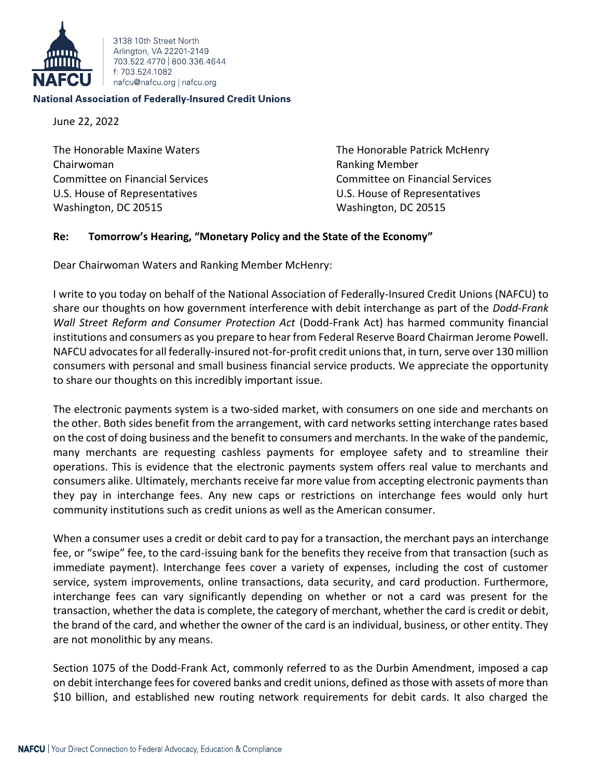

3138 10th Street North Arlington, VA 22201-2149 703 522 4770 800 336 4644 f: 703 524 1082 nafcu@nafcu.org | nafcu.org

## **National Association of Federally-Insured Credit Unions**

June 22, 2022

The Honorable Maxine Waters The Honorable Patrick McHenry Chairwoman Ranking Member Committee on Financial Services Committee on Financial Services U.S. House of Representatives U.S. House of Representatives Washington, DC 20515 Washington, DC 20515

## **Re: Tomorrow's Hearing, "Monetary Policy and the State of the Economy"**

Dear Chairwoman Waters and Ranking Member McHenry:

I write to you today on behalf of the National Association of Federally-Insured Credit Unions (NAFCU) to share our thoughts on how government interference with debit interchange as part of the *Dodd-Frank Wall Street Reform and Consumer Protection Act* (Dodd-Frank Act) has harmed community financial institutions and consumers as you prepare to hear from Federal Reserve Board Chairman Jerome Powell. NAFCU advocates for all federally-insured not-for-profit credit unions that, in turn, serve over 130 million consumers with personal and small business financial service products. We appreciate the opportunity to share our thoughts on this incredibly important issue.

The electronic payments system is a two-sided market, with consumers on one side and merchants on the other. Both sides benefit from the arrangement, with card networks setting interchange rates based on the cost of doing business and the benefit to consumers and merchants. In the wake of the pandemic, many merchants are requesting cashless payments for employee safety and to streamline their operations. This is evidence that the electronic payments system offers real value to merchants and consumers alike. Ultimately, merchants receive far more value from accepting electronic payments than they pay in interchange fees. Any new caps or restrictions on interchange fees would only hurt community institutions such as credit unions as well as the American consumer.

When a consumer uses a credit or debit card to pay for a transaction, the merchant pays an interchange fee, or "swipe" fee, to the card-issuing bank for the benefits they receive from that transaction (such as immediate payment). Interchange fees cover a variety of expenses, including the cost of customer service, system improvements, online transactions, data security, and card production. Furthermore, interchange fees can vary significantly depending on whether or not a card was present for the transaction, whether the data is complete, the category of merchant, whether the card is credit or debit, the brand of the card, and whether the owner of the card is an individual, business, or other entity. They are not monolithic by any means.

Section 1075 of the Dodd-Frank Act, commonly referred to as the Durbin Amendment, imposed a cap on debit interchange fees for covered banks and credit unions, defined as those with assets of more than \$10 billion, and established new routing network requirements for debit cards. It also charged the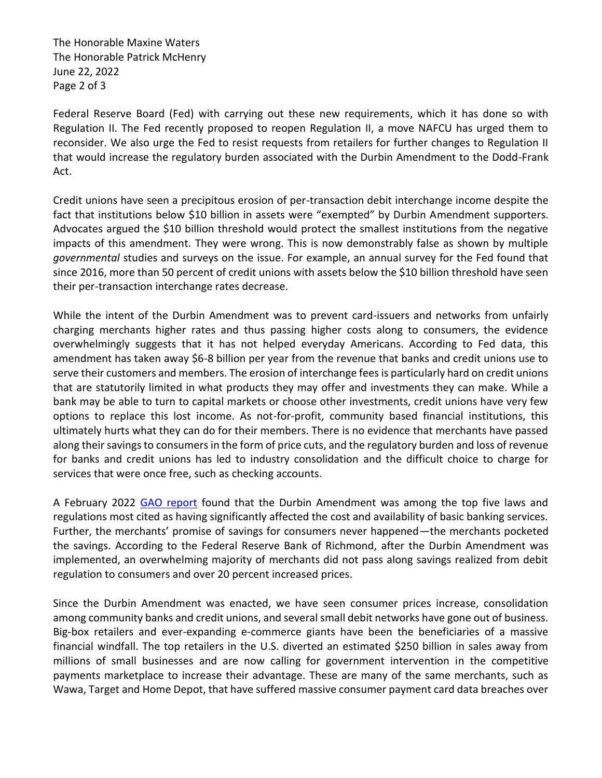The Honorable Maxine Waters The Honorable Patrick McHenry June 22, 2022 Page 2 of 3

Federal Reserve Board (Fed) with carrying out these new requirements, which it has done so with Regulation II. The Fed recently proposed to reopen Regulation II, a move NAFCU has urged them to reconsider. We also urge the Fed to resist requests from retailers for further changes to Regulation II that would increase the regulatory burden associated with the Durbin Amendment to the Dodd-Frank Act.

Credit unions have seen a precipitous erosion of per-transaction debit interchange income despite the fact that institutions below \$10 billion in assets were "exempted" by Durbin Amendment supporters. Advocates argued the \$10 billion threshold would protect the smallest institutions from the negative impacts of this amendment. They were wrong. This is now demonstrably false as shown by multiple *governmental* studies and surveys on the issue. For example, an annual survey for the Fed found that since 2016, more than 50 percent of credit unions with assets below the \$10 billion threshold have seen their per-transaction interchange rates decrease.

While the intent of the Durbin Amendment was to prevent card-issuers and networks from unfairly charging merchants higher rates and thus passing higher costs along to consumers, the evidence overwhelmingly suggests that it has not helped everyday Americans. According to Fed data, this amendment has taken away \$6-8 billion per year from the revenue that banks and credit unions use to serve their customers and members. The erosion of interchange fees is particularly hard on credit unions that are statutorily limited in what products they may offer and investments they can make. While a bank may be able to turn to capital markets or choose other investments, credit unions have very few options to replace this lost income. As not-for-profit, community based financial institutions, this ultimately hurts what they can do for their members. There is no evidence that merchants have passed along their savings to consumers in the form of price cuts, and the regulatory burden and loss of revenue for banks and credit unions has led to industry consolidation and the difficult choice to charge for services that were once free, such as checking accounts.

A February 2022 [GAO report](https://www.gao.gov/assets/gao-22-104468.pdf) found that the Durbin Amendment was among the top five laws and regulations most cited as having significantly affected the cost and availability of basic banking services. Further, the merchants' promise of savings for consumers never happened—the merchants pocketed the savings. According to the Federal Reserve Bank of Richmond, after the Durbin Amendment was implemented, an overwhelming majority of merchants did not pass along savings realized from debit regulation to consumers and over 20 percent increased prices.

Since the Durbin Amendment was enacted, we have seen consumer prices increase, consolidation among community banks and credit unions, and several small debit networks have gone out of business. Big-box retailers and ever-expanding e-commerce giants have been the beneficiaries of a massive financial windfall. The top retailers in the U.S. diverted an estimated \$250 billion in sales away from millions of small businesses and are now calling for government intervention in the competitive payments marketplace to increase their advantage. These are many of the same merchants, such as Wawa, Target and Home Depot, that have suffered massive consumer payment card data breaches over